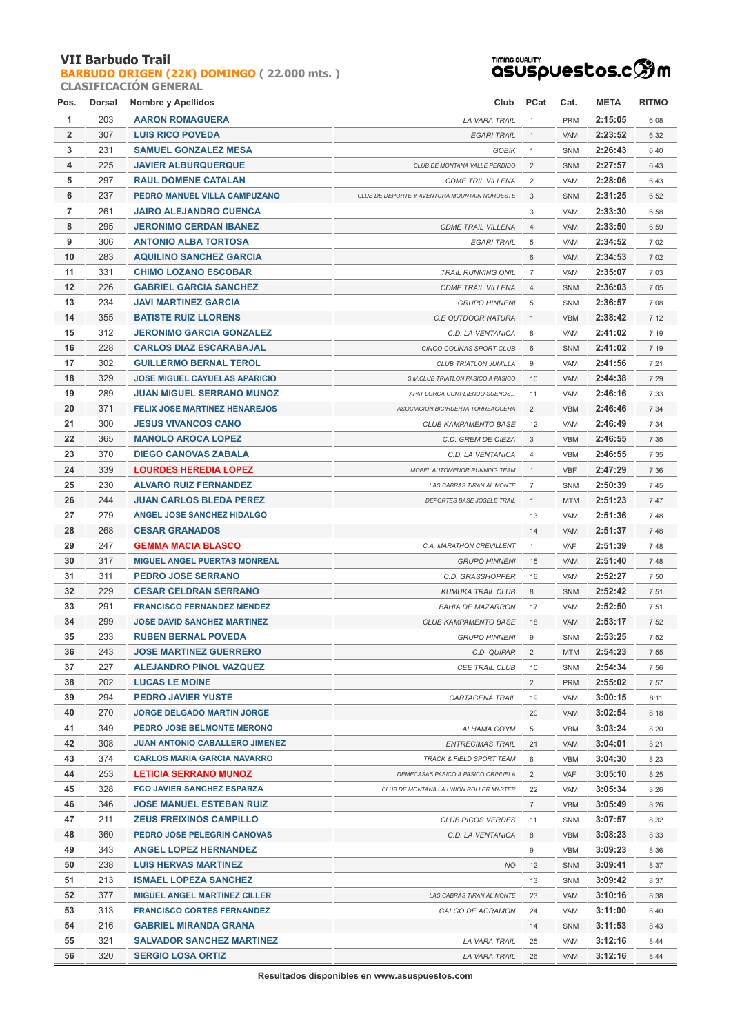#### **VII Barbudo Trail**

#### **[BARBUDO ORIGEN \(22K\) DOMINGO](http://localhost/inscripcionWEBHost/prueba.php?cod=90) ( 22.000 mts. ) CLASIFICACIÓN GENERAL**

# <del>™™®®®L™</del><br>QSUSpUestos.cஇm

| Pos.           | Dorsal | Nombre y Apellidos                    | Club                                         | <b>PCat</b>    | Cat.       | <b>META</b> | <b>RITMO</b> |
|----------------|--------|---------------------------------------|----------------------------------------------|----------------|------------|-------------|--------------|
| 1              | 203    | <b>AARON ROMAGUERA</b>                | LA VARA TRAIL                                | $\mathbf{1}$   | <b>PRM</b> | 2:15:05     | 6:08         |
| $\overline{2}$ | 307    | <b>LUIS RICO POVEDA</b>               | <b>EGARI TRAIL</b>                           | $\mathbf{1}$   | <b>VAM</b> | 2:23:52     | 6:32         |
| 3              | 231    | <b>SAMUEL GONZALEZ MESA</b>           | <b>GOBIK</b>                                 | $\mathbf{1}$   | SNM        | 2:26:43     | 6:40         |
| 4              | 225    | <b>JAVIER ALBURQUERQUE</b>            | CLUB DE MONTANA VALLE PERDIDO                | $\overline{2}$ | <b>SNM</b> | 2:27:57     | 6:43         |
| 5              | 297    | <b>RAUL DOMENE CATALAN</b>            | <b>CDME TRIL VILLENA</b>                     | 2              | <b>VAM</b> | 2:28:06     | 6:43         |
| 6              | 237    | PEDRO MANUEL VILLA CAMPUZANO          | CLUB DE DEPORTE Y AVENTURA MOUNTAIN NOROESTE | 3              | <b>SNM</b> | 2:31:25     | 6:52         |
| $\overline{7}$ | 261    | <b>JAIRO ALEJANDRO CUENCA</b>         |                                              | 3              | VAM        | 2:33:30     | 6:58         |
| 8              | 295    | <b>JERONIMO CERDAN IBANEZ</b>         | <b>CDME TRAIL VILLENA</b>                    | 4              | VAM        | 2:33:50     | 6:59         |
| 9              | 306    | <b>ANTONIO ALBA TORTOSA</b>           | <b>EGARI TRAIL</b>                           | 5              | <b>VAM</b> | 2:34:52     | 7:02         |
| 10             | 283    | <b>AQUILINO SANCHEZ GARCIA</b>        |                                              | 6              | VAM        | 2:34:53     | 7:02         |
| 11             | 331    | <b>CHIMO LOZANO ESCOBAR</b>           | <b>TRAIL RUNNING ONIL</b>                    | $\overline{7}$ | VAM        | 2:35:07     | 7:03         |
| 12             | 226    | <b>GABRIEL GARCIA SANCHEZ</b>         | <b>CDME TRAIL VILLENA</b>                    | $\overline{4}$ | SNM        | 2:36:03     | 7:05         |
| 13             | 234    | <b>JAVI MARTINEZ GARCIA</b>           | <b>GRUPO HINNENI</b>                         | 5              | SNM        | 2:36:57     | 7:08         |
| 14             | 355    | <b>BATISTE RUIZ LLORENS</b>           | C.E OUTDOOR NATURA                           | $\mathbf{1}$   | <b>VBM</b> | 2:38:42     | 7:12         |
| 15             | 312    | <b>JERONIMO GARCIA GONZALEZ</b>       | C.D. LA VENTANICA                            | 8              | VAM        | 2:41:02     | 7:19         |
| 16             | 228    | <b>CARLOS DIAZ ESCARABAJAL</b>        | CINCO COLINAS SPORT CLUB                     | 6              | <b>SNM</b> | 2:41:02     | 7:19         |
| 17             | 302    | <b>GUILLERMO BERNAL TEROL</b>         | CLUB TRIATLON JUMILLA                        | 9              | <b>VAM</b> | 2:41:56     | 7:21         |
| 18             | 329    | <b>JOSE MIGUEL CAYUELAS APARICIO</b>  | S.M.CLUB TRIATLON PASICO A PASICO            | 10             | VAM        | 2:44:38     | 7:29         |
| 19             | 289    | <b>JUAN MIGUEL SERRANO MUNOZ</b>      | APAT LORCA CUMPLIENDO SUENOS                 | 11             | VAM        | 2:46:16     | 7:33         |
| 20             | 371    | <b>FELIX JOSE MARTINEZ HENAREJOS</b>  | ASOCIACION BICIHUERTA TORREAGOERA            | $\overline{2}$ | <b>VBM</b> | 2:46:46     | 7:34         |
| 21             | 300    | <b>JESUS VIVANCOS CANO</b>            | <b>CLUB KAMPAMENTO BASE</b>                  | 12             | <b>VAM</b> | 2:46:49     | 7:34         |
| 22             | 365    | <b>MANOLO AROCA LOPEZ</b>             | C.D. GREM DE CIEZA                           | 3              | <b>VBM</b> | 2:46:55     | 7:35         |
| 23             | 370    | <b>DIEGO CANOVAS ZABALA</b>           | C.D. LA VENTANICA                            | $\overline{4}$ | <b>VBM</b> | 2:46:55     | 7:35         |
| 24             | 339    | <b>LOURDES HEREDIA LOPEZ</b>          | MOBEL AUTOMENOR RUNNING TEAM                 | $\mathbf{1}$   | <b>VBF</b> | 2:47:29     | 7:36         |
| 25             | 230    | <b>ALVARO RUIZ FERNANDEZ</b>          | LAS CABRAS TIRAN AL MONTE                    | $\overline{7}$ | SNM        | 2:50:39     | 7:45         |
| 26             | 244    | <b>JUAN CARLOS BLEDA PEREZ</b>        | DEPORTES BASE JOSELE TRAIL                   | $\mathbf{1}$   | <b>MTM</b> | 2:51:23     | 7:47         |
| 27             | 279    | <b>ANGEL JOSE SANCHEZ HIDALGO</b>     |                                              | 13             | VAM        | 2:51:36     | 7:48         |
| 28             | 268    | <b>CESAR GRANADOS</b>                 |                                              | 14             | VAM        | 2:51:37     | 7:48         |
| 29             | 247    | <b>GEMMA MACIA BLASCO</b>             | C.A. MARATHON CREVILLENT                     | $\mathbf{1}$   | <b>VAF</b> | 2:51:39     | 7:48         |
| 30             | 317    | <b>MIGUEL ANGEL PUERTAS MONREAL</b>   | <b>GRUPO HINNENI</b>                         | 15             | VAM        | 2:51:40     | 7:48         |
| 31             | 311    | <b>PEDRO JOSE SERRANO</b>             | C.D. GRASSHOPPER                             | 16             | VAM        | 2:52:27     | 7:50         |
| 32             | 229    | <b>CESAR CELDRAN SERRANO</b>          | <b>KUMUKA TRAIL CLUB</b>                     | 8              | <b>SNM</b> | 2:52:42     | 7:51         |
| 33             | 291    | <b>FRANCISCO FERNANDEZ MENDEZ</b>     | <b>BAHIA DE MAZARRON</b>                     | 17             | <b>VAM</b> | 2:52:50     | 7:51         |
| 34             | 299    | <b>JOSE DAVID SANCHEZ MARTINEZ</b>    | <b>CLUB KAMPAMENTO BASE</b>                  | 18             | <b>VAM</b> | 2:53:17     | 7:52         |
| 35             | 233    | <b>RUBEN BERNAL POVEDA</b>            | <b>GRUPO HINNENI</b>                         | 9              | SNM        | 2:53:25     | 7:52         |
| 36             | 243    | <b>JOSE MARTINEZ GUERRERO</b>         | C.D. QUIPAR                                  | 2              | <b>MTM</b> | 2:54:23     | 7:55         |
| 37             | 227    | ALEJANDRO PINOL VAZQUEZ               | CEE TRAIL CLUB                               | 10             | SNM        | 2:54:34     | 7:56         |
| 38             | 202    | <b>LUCAS LE MOINE</b>                 |                                              | $\overline{2}$ | <b>PRM</b> | 2:55:02     | 7:57         |
| 39             | 294    | <b>PEDRO JAVIER YUSTE</b>             | CARTAGENA TRAIL                              | 19             | VAM        | 3:00:15     | 8:11         |
| 40             | 270    | <b>JORGE DELGADO MARTIN JORGE</b>     |                                              | 20             | VAM        | 3:02:54     | 8:18         |
| 41             | 349    | PEDRO JOSE BELMONTE MERONO            | ALHAMA COYM                                  | 5              | VBM        | 3:03:24     | 8:20         |
| 42             | 308    | <b>JUAN ANTONIO CABALLERO JIMENEZ</b> | <b>ENTRECIMAS TRAIL</b>                      | 21             | VAM        | 3:04:01     | 8:21         |
| 43             | 374    | <b>CARLOS MARIA GARCIA NAVARRO</b>    | TRACK & FIELD SPORT TEAM                     | 6              | VBM        | 3:04:30     | 8:23         |
| 44             | 253    | LETICIA SERRANO MUNOZ                 | DEMECASAS PASICO A PASICO ORIHUELA           | $\overline{2}$ | VAF        | 3:05:10     | 8:25         |
| 45             | 328    | <b>FCO JAVIER SANCHEZ ESPARZA</b>     | CLUB DE MONTANA LA UNION ROLLER MASTER       | 22             | VAM        | 3:05:34     | 8:26         |
| 46             | 346    | <b>JOSE MANUEL ESTEBAN RUIZ</b>       |                                              | $\overline{7}$ | <b>VBM</b> | 3:05:49     | 8:26         |
| 47             | 211    | <b>ZEUS FREIXINOS CAMPILLO</b>        | <b>CLUB PICOS VERDES</b>                     | 11             | SNM        | 3:07:57     | 8:32         |
| 48             | 360    | PEDRO JOSE PELEGRIN CANOVAS           | C.D. LA VENTANICA                            | 8              | <b>VBM</b> | 3:08:23     | 8:33         |
| 49             | 343    | <b>ANGEL LOPEZ HERNANDEZ</b>          |                                              | 9              | <b>VBM</b> | 3:09:23     | 8:36         |
| 50             | 238    | <b>LUIS HERVAS MARTINEZ</b>           | <b>NO</b>                                    | 12             | <b>SNM</b> | 3:09:41     | 8:37         |
| 51             | 213    | <b>ISMAEL LOPEZA SANCHEZ</b>          |                                              | 13             | SNM        | 3:09:42     | 8:37         |
| 52             | 377    | <b>MIGUEL ANGEL MARTINEZ CILLER</b>   | LAS CABRAS TIRAN AL MONTE                    | 23             | VAM        | 3:10:16     | 8:38         |
| 53             | 313    | <b>FRANCISCO CORTES FERNANDEZ</b>     | <b>GALGO DE AGRAMON</b>                      | 24             | VAM        | 3:11:00     | 8:40         |
| 54             | 216    | <b>GABRIEL MIRANDA GRANA</b>          |                                              | 14             | SNM        | 3:11:53     | 8:43         |
| 55             | 321    | <b>SALVADOR SANCHEZ MARTINEZ</b>      | LA VARA TRAIL                                | 25             | VAM        | 3:12:16     | 8:44         |
| 56             | 320    | <b>SERGIO LOSA ORTIZ</b>              | LA VARA TRAIL                                | 26             | VAM        | 3:12:16     | 8:44         |

**Resultados disponibles en www.asuspuestos.com**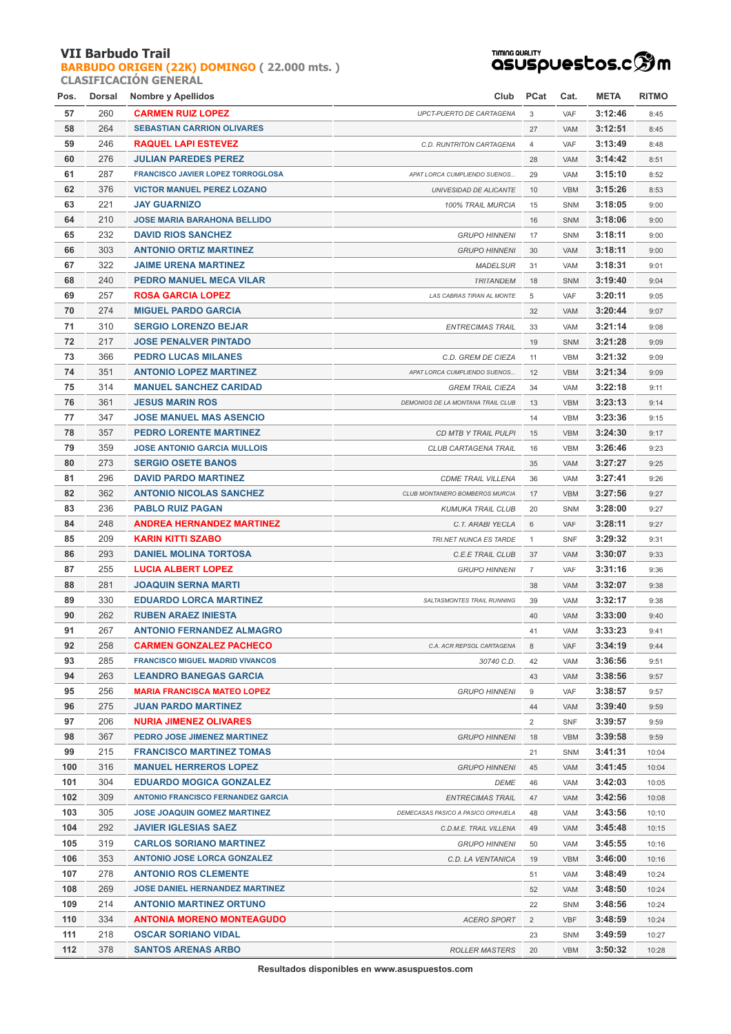### **VII Barbudo Trail**

**[BARBUDO ORIGEN \(22K\) DOMINGO](http://localhost/inscripcionWEBHost/prueba.php?cod=90) ( 22.000 mts. ) CLASIFICACIÓN GENERAL**



| Pos. | Dorsal | Nombre y Apellidos                        | Club                               | <b>PCat</b>    | Cat.       | <b>META</b> | <b>RITMO</b> |
|------|--------|-------------------------------------------|------------------------------------|----------------|------------|-------------|--------------|
| 57   | 260    | <b>CARMEN RUIZ LOPEZ</b>                  | UPCT-PUERTO DE CARTAGENA           | 3              | VAF        | 3:12:46     | 8:45         |
| 58   | 264    | <b>SEBASTIAN CARRION OLIVARES</b>         |                                    | 27             | <b>VAM</b> | 3:12:51     | 8:45         |
| 59   | 246    | <b>RAQUEL LAPI ESTEVEZ</b>                | C.D. RUNTRITON CARTAGENA           | $\overline{4}$ | VAF        | 3:13:49     | 8:48         |
| 60   | 276    | <b>JULIAN PAREDES PEREZ</b>               |                                    | 28             | VAM        | 3:14:42     | 8:51         |
| 61   | 287    | <b>FRANCISCO JAVIER LOPEZ TORROGLOSA</b>  | APAT LORCA CUMPLIENDO SUENOS       | 29             | VAM        | 3:15:10     | 8:52         |
| 62   | 376    | <b>VICTOR MANUEL PEREZ LOZANO</b>         | UNIVESIDAD DE ALICANTE             | 10             | <b>VBM</b> | 3:15:26     | 8:53         |
| 63   | 221    | <b>JAY GUARNIZO</b>                       | 100% TRAIL MURCIA                  | 15             | SNM        | 3:18:05     | 9:00         |
| 64   | 210    | <b>JOSE MARIA BARAHONA BELLIDO</b>        |                                    | 16             | <b>SNM</b> | 3:18:06     | 9:00         |
| 65   | 232    | <b>DAVID RIOS SANCHEZ</b>                 | <b>GRUPO HINNENI</b>               | 17             | SNM        | 3:18:11     | 9:00         |
| 66   | 303    | <b>ANTONIO ORTIZ MARTINEZ</b>             | <b>GRUPO HINNENI</b>               | 30             | VAM        | 3:18:11     | 9:00         |
| 67   | 322    | <b>JAIME URENA MARTINEZ</b>               | <b>MADELSUR</b>                    | 31             | VAM        | 3:18:31     | 9:01         |
| 68   | 240    | PEDRO MANUEL MECA VILAR                   | <b>TRITANDEM</b>                   | 18             | <b>SNM</b> | 3:19:40     | 9:04         |
| 69   | 257    | <b>ROSA GARCIA LOPEZ</b>                  | LAS CABRAS TIRAN AL MONTE          | 5              | <b>VAF</b> | 3:20:11     | 9:05         |
| 70   | 274    | <b>MIGUEL PARDO GARCIA</b>                |                                    | 32             | VAM        | 3:20:44     | 9:07         |
| 71   | 310    | <b>SERGIO LORENZO BEJAR</b>               | <b>ENTRECIMAS TRAIL</b>            | 33             | VAM        | 3:21:14     | 9:08         |
| 72   | 217    | <b>JOSE PENALVER PINTADO</b>              |                                    | 19             | <b>SNM</b> | 3:21:28     | 9:09         |
| 73   | 366    | <b>PEDRO LUCAS MILANES</b>                | C.D. GREM DE CIEZA                 | 11             | <b>VBM</b> | 3:21:32     | 9:09         |
| 74   | 351    | <b>ANTONIO LOPEZ MARTINEZ</b>             | APAT LORCA CUMPLIENDO SUENOS       | 12             | <b>VBM</b> | 3:21:34     | 9:09         |
| 75   | 314    | <b>MANUEL SANCHEZ CARIDAD</b>             | <b>GREM TRAIL CIEZA</b>            | 34             | VAM        | 3:22:18     | 9:11         |
| 76   | 361    | <b>JESUS MARIN ROS</b>                    | DEMONIOS DE LA MONTANA TRAIL CLUB  | 13             | <b>VBM</b> | 3:23:13     | 9:14         |
| 77   | 347    | <b>JOSE MANUEL MAS ASENCIO</b>            |                                    | 14             | <b>VBM</b> | 3:23:36     | 9:15         |
| 78   | 357    | <b>PEDRO LORENTE MARTINEZ</b>             | CD MTB Y TRAIL PULPI               | 15             | <b>VBM</b> | 3:24:30     | 9:17         |
| 79   | 359    | <b>JOSE ANTONIO GARCIA MULLOIS</b>        | CLUB CARTAGENA TRAIL               | 16             | <b>VBM</b> | 3:26:46     | 9:23         |
| 80   | 273    | <b>SERGIO OSETE BANOS</b>                 |                                    | 35             | VAM        | 3:27:27     | 9:25         |
| 81   | 296    | <b>DAVID PARDO MARTINEZ</b>               | <b>CDME TRAIL VILLENA</b>          | 36             | <b>VAM</b> | 3:27:41     | 9:26         |
| 82   | 362    | <b>ANTONIO NICOLAS SANCHEZ</b>            | CLUB MONTANERO BOMBEROS MURCIA     | 17             | <b>VBM</b> | 3:27:56     | 9:27         |
| 83   | 236    | <b>PABLO RUIZ PAGAN</b>                   | <b>KUMUKA TRAIL CLUB</b>           | 20             | SNM        | 3:28:00     | 9:27         |
| 84   | 248    | <b>ANDREA HERNANDEZ MARTINEZ</b>          | C.T. ARABI YECLA                   | 6              | VAF        | 3:28:11     | 9:27         |
| 85   | 209    | <b>KARIN KITTI SZABO</b>                  | TRI.NET NUNCA ES TARDE             | $\mathbf{1}$   | <b>SNF</b> | 3:29:32     | 9:31         |
| 86   | 293    | <b>DANIEL MOLINA TORTOSA</b>              | C.E.E TRAIL CLUB                   | 37             | VAM        | 3:30:07     | 9:33         |
| 87   | 255    | <b>LUCIA ALBERT LOPEZ</b>                 | <b>GRUPO HINNENI</b>               | $\overline{7}$ | VAF        | 3:31:16     | 9:36         |
| 88   | 281    | <b>JOAQUIN SERNA MARTI</b>                |                                    | 38             | VAM        | 3:32:07     | 9:38         |
| 89   | 330    | <b>EDUARDO LORCA MARTINEZ</b>             | <b>SALTASMONTES TRAIL RUNNING</b>  | 39             | <b>VAM</b> | 3:32:17     | 9:38         |
| 90   | 262    | <b>RUBEN ARAEZ INIESTA</b>                |                                    | 40             | VAM        | 3:33:00     | 9:40         |
| 91   | 267    | <b>ANTONIO FERNANDEZ ALMAGRO</b>          |                                    | 41             | VAM        | 3:33:23     | 9:41         |
| 92   | 258    | <b>CARMEN GONZALEZ PACHECO</b>            | C.A. ACR REPSOL CARTAGENA          | 8              | VAF        | 3:34:19     | 9:44         |
| 93   | 285    | <b>FRANCISCO MIGUEL MADRID VIVANCOS</b>   | 30740 C.D.                         | 42             | VAM        | 3:36:56     | 9:51         |
| 94   | 263    | <b>LEANDRO BANEGAS GARCIA</b>             |                                    | 43             | VAM        | 3:38:56     | 9:57         |
| 95   | 256    | <b>MARIA FRANCISCA MATEO LOPEZ</b>        | <b>GRUPO HINNENI</b>               | 9              | VAF        | 3:38:57     | 9:57         |
| 96   | 275    | <b>JUAN PARDO MARTINEZ</b>                |                                    | 44             | VAM        | 3:39:40     | 9:59         |
| 97   | 206    | <b>NURIA JIMENEZ OLIVARES</b>             |                                    | $\overline{2}$ | <b>SNF</b> | 3:39:57     | 9:59         |
| 98   | 367    | PEDRO JOSE JIMENEZ MARTINEZ               | <b>GRUPO HINNENI</b>               | 18             | <b>VBM</b> | 3:39:58     | 9:59         |
| 99   | 215    | <b>FRANCISCO MARTINEZ TOMAS</b>           |                                    | 21             | SNM        | 3:41:31     | 10:04        |
| 100  | 316    | <b>MANUEL HERREROS LOPEZ</b>              | <b>GRUPO HINNENI</b>               | 45             | VAM        | 3:41:45     | 10:04        |
| 101  | 304    | <b>EDUARDO MOGICA GONZALEZ</b>            | <b>DEME</b>                        | 46             | VAM        | 3:42:03     | 10:05        |
| 102  | 309    | <b>ANTONIO FRANCISCO FERNANDEZ GARCIA</b> | <b>ENTRECIMAS TRAIL</b>            | 47             | VAM        | 3:42:56     | 10:08        |
| 103  | 305    | <b>JOSE JOAQUIN GOMEZ MARTINEZ</b>        | DEMECASAS PASICO A PASICO ORIHUELA | 48             | VAM        | 3:43:56     | 10:10        |
| 104  | 292    | <b>JAVIER IGLESIAS SAEZ</b>               | C.D.M.E. TRAIL VILLENA             | 49             | VAM        | 3:45:48     | 10:15        |
| 105  | 319    | <b>CARLOS SORIANO MARTINEZ</b>            | <b>GRUPO HINNENI</b>               | 50             | VAM        | 3:45:55     | 10:16        |
| 106  | 353    | <b>ANTONIO JOSE LORCA GONZALEZ</b>        | C.D. LA VENTANICA                  | 19             | <b>VBM</b> | 3:46:00     | 10:16        |
| 107  | 278    | <b>ANTONIO ROS CLEMENTE</b>               |                                    | 51             | VAM        | 3:48:49     | 10:24        |
| 108  | 269    | <b>JOSE DANIEL HERNANDEZ MARTINEZ</b>     |                                    | 52             | VAM        | 3:48:50     | 10:24        |
| 109  | 214    | <b>ANTONIO MARTINEZ ORTUNO</b>            |                                    | 22             | SNM        | 3:48:56     | 10:24        |
| 110  | 334    | <b>ANTONIA MORENO MONTEAGUDO</b>          | <b>ACERO SPORT</b>                 | $\overline{2}$ | <b>VBF</b> | 3:48:59     | 10:24        |
| 111  | 218    | <b>OSCAR SORIANO VIDAL</b>                |                                    | 23             | SNM        | 3:49:59     | 10:27        |
| 112  | 378    | <b>SANTOS ARENAS ARBO</b>                 | <b>ROLLER MASTERS</b>              | 20             | <b>VBM</b> | 3:50:32     | 10:28        |
|      |        |                                           |                                    |                |            |             |              |

**Resultados disponibles en www.asuspuestos.com**